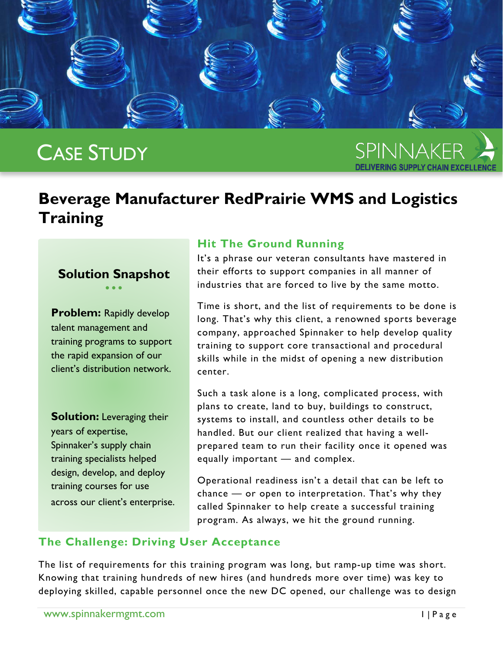

# CASE STUDY

SPINNAKER

# **Beverage Manufacturer RedPrairie WMS and Logistics Training**

#### **Solution Snapshot** • • •

**Problem: Rapidly develop** talent management and training programs to support the rapid expansion of our client's distribution network.

**Solution:** Leveraging their years of expertise, Spinnaker's supply chain training specialists helped design, develop, and deploy training courses for use across our client's enterprise.

## **Hit The Ground Running**

It's a phrase our veteran consultants have mastered in their efforts to support companies in all manner of industries that are forced to live by the same motto.

Time is short, and the list of requirements to be done is long. That's why this client, a renowned sports beverage company, approached Spinnaker to help develop quality training to support core transactional and procedural skills while in the midst of opening a new distribution center.

Such a task alone is a long, complicated process, with plans to create, land to buy, buildings to construct, systems to install, and countless other details to be handled. But our client realized that having a wellprepared team to run their facility once it opened was equally important — and complex.

Operational readiness isn't a detail that can be left to chance — or open to interpretation. That's why they called Spinnaker to help create a successful training program. As always, we hit the ground running.

# **The Challenge: Driving User Acceptance**

The list of requirements for this training program was long, but ramp-up time was short. Knowing that training hundreds of new hires (and hundreds more over time) was key to deploying skilled, capable personnel once the new DC opened, our challenge was to design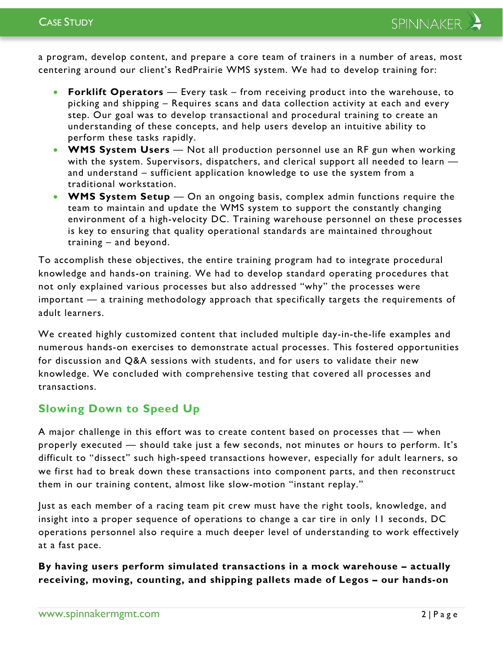a program, develop content, and prepare a core team of trainers in a number of areas, most centering around our client's RedPrairie WMS system. We had to develop training for:

- **Forklift Operators** Every task from receiving product into the warehouse, to picking and shipping – Requires scans and data collection activity at each and every step. Our goal was to develop transactional and procedural training to create an understanding of these concepts, and help users develop an intuitive ability to perform these tasks rapidly.
- **WMS System Users** Not all production personnel use an RF gun when working with the system. Supervisors, dispatchers, and clerical support all needed to learn and understand – sufficient application knowledge to use the system from a traditional workstation.
- **WMS System Setup** On an ongoing basis, complex admin functions require the team to maintain and update the WMS system to support the constantly changing environment of a high-velocity DC. Training warehouse personnel on these processes is key to ensuring that quality operational standards are maintained throughout training – and beyond.

To accomplish these objectives, the entire training program had to integrate procedural knowledge and hands-on training. We had to develop standard operating procedures that not only explained various processes but also addressed "why" the processes were important — a training methodology approach that specifically targets the requirements of adult learners.

We created highly customized content that included multiple day-in-the-life examples and numerous hands-on exercises to demonstrate actual processes. This fostered opportunities for discussion and Q&A sessions with students, and for users to validate their new knowledge. We concluded with comprehensive testing that covered all processes and transactions.

## **Slowing Down to Speed Up**

A major challenge in this effort was to create content based on processes that — when properly executed — should take just a few seconds, not minutes or hours to perform. It's difficult to "dissect" such high-speed transactions however, especially for adult learners, so we first had to break down these transactions into component parts, and then reconstruct them in our training content, almost like slow-motion "instant replay."

Just as each member of a racing team pit crew must have the right tools, knowledge, and insight into a proper sequence of operations to change a car tire in only 11 seconds, DC operations personnel also require a much deeper level of understanding to work effectively at a fast pace.

**By having users perform simulated transactions in a mock warehouse – actually receiving, moving, counting, and shipping pallets made of Legos – our hands-on**